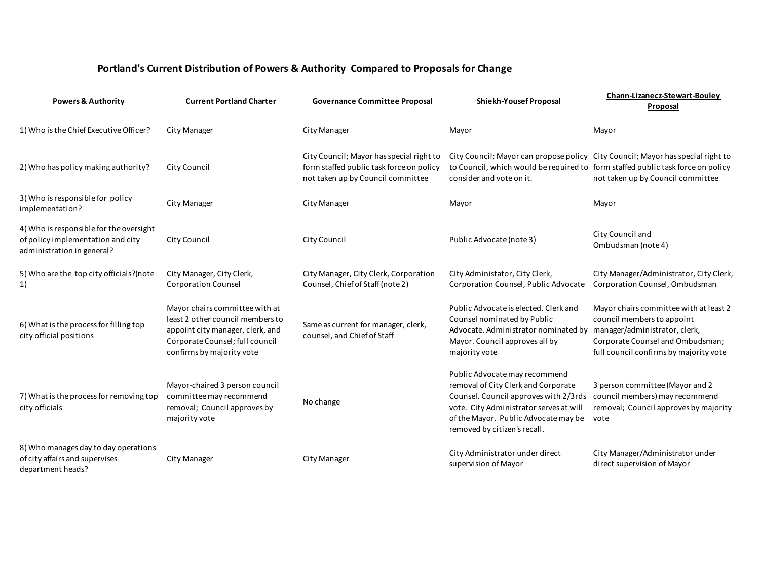## **Portland's Current Distribution of Powers & Authority Compared to Proposals for Change**

| <b>Powers &amp; Authority</b>                                                                              | <b>Current Portland Charter</b>                                                                                                                                        | <b>Governance Committee Proposal</b>                                                                                      | Shiekh-Yousef Proposal                                                                                                                                                                                                           | Chann-Lizanecz-Stewart-Bouley<br>Proposal                                                                                                                                           |
|------------------------------------------------------------------------------------------------------------|------------------------------------------------------------------------------------------------------------------------------------------------------------------------|---------------------------------------------------------------------------------------------------------------------------|----------------------------------------------------------------------------------------------------------------------------------------------------------------------------------------------------------------------------------|-------------------------------------------------------------------------------------------------------------------------------------------------------------------------------------|
| 1) Who is the Chief Executive Officer?                                                                     | City Manager                                                                                                                                                           | City Manager                                                                                                              | Mayor                                                                                                                                                                                                                            | Mayor                                                                                                                                                                               |
| 2) Who has policy making authority?                                                                        | City Council                                                                                                                                                           | City Council; Mayor has special right to<br>form staffed public task force on policy<br>not taken up by Council committee | City Council; Mayor can propose policy City Council; Mayor has special right to<br>to Council, which would be required to form staffed public task force on policy<br>consider and vote on it.                                   | not taken up by Council committee                                                                                                                                                   |
| 3) Who is responsible for policy<br>implementation?                                                        | City Manager                                                                                                                                                           | City Manager                                                                                                              | Mayor                                                                                                                                                                                                                            | Mayor                                                                                                                                                                               |
| 4) Who is responsible for the oversight<br>of policy implementation and city<br>administration in general? | City Council                                                                                                                                                           | City Council                                                                                                              | Public Advocate (note 3)                                                                                                                                                                                                         | City Council and<br>Ombudsman (note 4)                                                                                                                                              |
| 5) Who are the top city officials?(note<br>1)                                                              | City Manager, City Clerk,<br><b>Corporation Counsel</b>                                                                                                                | City Manager, City Clerk, Corporation<br>Counsel, Chief of Staff (note 2)                                                 | City Administator, City Clerk,<br>Corporation Counsel, Public Advocate                                                                                                                                                           | City Manager/Administrator, City Clerk,<br>Corporation Counsel, Ombudsman                                                                                                           |
| 6) What is the process for filling top<br>city official positions                                          | Mayor chairs committee with at<br>least 2 other council members to<br>appoint city manager, clerk, and<br>Corporate Counsel; full council<br>confirms by majority vote | Same as current for manager, clerk,<br>counsel, and Chief of Staff                                                        | Public Advocate is elected. Clerk and<br>Counsel nominated by Public<br>Advocate. Administrator nominated by<br>Mayor. Council approves all by<br>majority vote                                                                  | Mayor chairs committee with at least 2<br>council members to appoint<br>manager/administrator, clerk,<br>Corporate Counsel and Ombudsman;<br>full council confirms by majority vote |
| 7) What is the process for removing top<br>city officials                                                  | Mayor-chaired 3 person council<br>committee may recommend<br>removal; Council approves by<br>majority vote                                                             | No change                                                                                                                 | Public Advocate may recommend<br>removal of City Clerk and Corporate<br>Counsel. Council approves with 2/3rds<br>vote. City Administrator serves at will<br>of the Mayor. Public Advocate may be<br>removed by citizen's recall. | 3 person committee (Mayor and 2<br>council members) may recommend<br>removal; Council approves by majority<br>vote                                                                  |
| 8) Who manages day to day operations<br>of city affairs and supervises<br>department heads?                | City Manager                                                                                                                                                           | City Manager                                                                                                              | City Administrator under direct<br>supervision of Mayor                                                                                                                                                                          | City Manager/Administrator under<br>direct supervision of Mayor                                                                                                                     |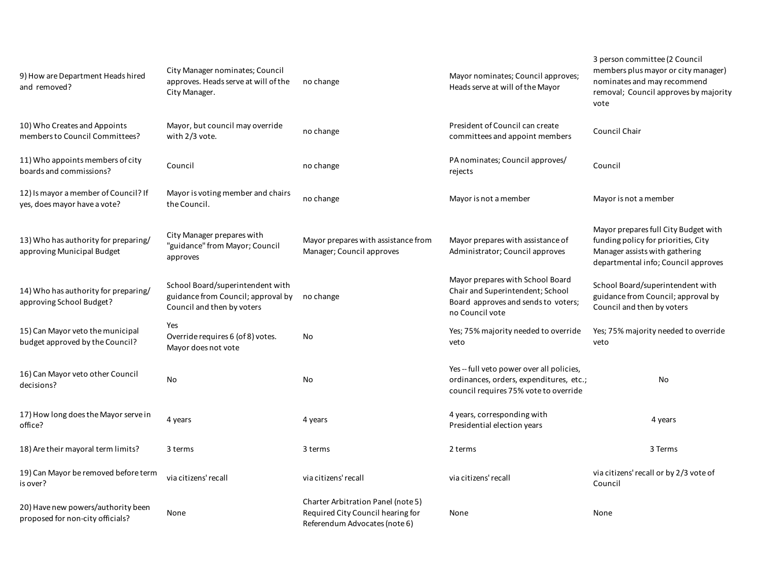| 9) How are Department Heads hired<br>and removed?                      | City Manager nominates; Council<br>approves. Heads serve at will of the<br>City Manager.             | no change                                                                                                | Mayor nominates; Council approves;<br>Heads serve at will of the Mayor                                                         | 3 person committee (2 Council<br>members plus mayor or city manager)<br>nominates and may recommend<br>removal; Council approves by majority<br>vote |
|------------------------------------------------------------------------|------------------------------------------------------------------------------------------------------|----------------------------------------------------------------------------------------------------------|--------------------------------------------------------------------------------------------------------------------------------|------------------------------------------------------------------------------------------------------------------------------------------------------|
| 10) Who Creates and Appoints<br>members to Council Committees?         | Mayor, but council may override<br>with 2/3 vote.                                                    | no change                                                                                                | President of Council can create<br>committees and appoint members                                                              | Council Chair                                                                                                                                        |
| 11) Who appoints members of city<br>boards and commissions?            | Council                                                                                              | no change                                                                                                | PA nominates; Council approves/<br>rejects                                                                                     | Council                                                                                                                                              |
| 12) Is mayor a member of Council? If<br>yes, does mayor have a vote?   | Mayor is voting member and chairs<br>the Council.                                                    | no change                                                                                                | Mayor is not a member                                                                                                          | Mayor is not a member                                                                                                                                |
| 13) Who has authority for preparing/<br>approving Municipal Budget     | City Manager prepares with<br>"guidance" from Mayor; Council<br>approves                             | Mayor prepares with assistance from<br>Manager; Council approves                                         | Mayor prepares with assistance of<br>Administrator; Council approves                                                           | Mayor prepares full City Budget with<br>funding policy for priorities, City<br>Manager assists with gathering<br>departmental info; Council approves |
| 14) Who has authority for preparing/<br>approving School Budget?       | School Board/superintendent with<br>guidance from Council; approval by<br>Council and then by voters | no change                                                                                                | Mayor prepares with School Board<br>Chair and Superintendent; School<br>Board approves and sends to voters;<br>no Council vote | School Board/superintendent with<br>guidance from Council; approval by<br>Council and then by voters                                                 |
| 15) Can Mayor veto the municipal<br>budget approved by the Council?    | Yes<br>Override requires 6 (of 8) votes.<br>Mayor does not vote                                      | No                                                                                                       | Yes; 75% majority needed to override<br>veto                                                                                   | Yes; 75% majority needed to override<br>veto                                                                                                         |
| 16) Can Mayor veto other Council<br>decisions?                         | No                                                                                                   | No                                                                                                       | Yes -- full veto power over all policies,<br>ordinances, orders, expenditures, etc.;<br>council requires 75% vote to override  | No                                                                                                                                                   |
| 17) How long does the Mayor serve in<br>office?                        | 4 years                                                                                              | 4 years                                                                                                  | 4 years, corresponding with<br>Presidential election years                                                                     | 4 years                                                                                                                                              |
| 18) Are their mayoral term limits?                                     | 3 terms                                                                                              | 3 terms                                                                                                  | 2 terms                                                                                                                        | 3 Terms                                                                                                                                              |
| 19) Can Mayor be removed before term<br>is over?                       | via citizens' recall                                                                                 | via citizens' recall                                                                                     | via citizens' recall                                                                                                           | via citizens' recall or by 2/3 vote of<br>Council                                                                                                    |
| 20) Have new powers/authority been<br>proposed for non-city officials? | None                                                                                                 | Charter Arbitration Panel (note 5)<br>Required City Council hearing for<br>Referendum Advocates (note 6) | None                                                                                                                           | None                                                                                                                                                 |